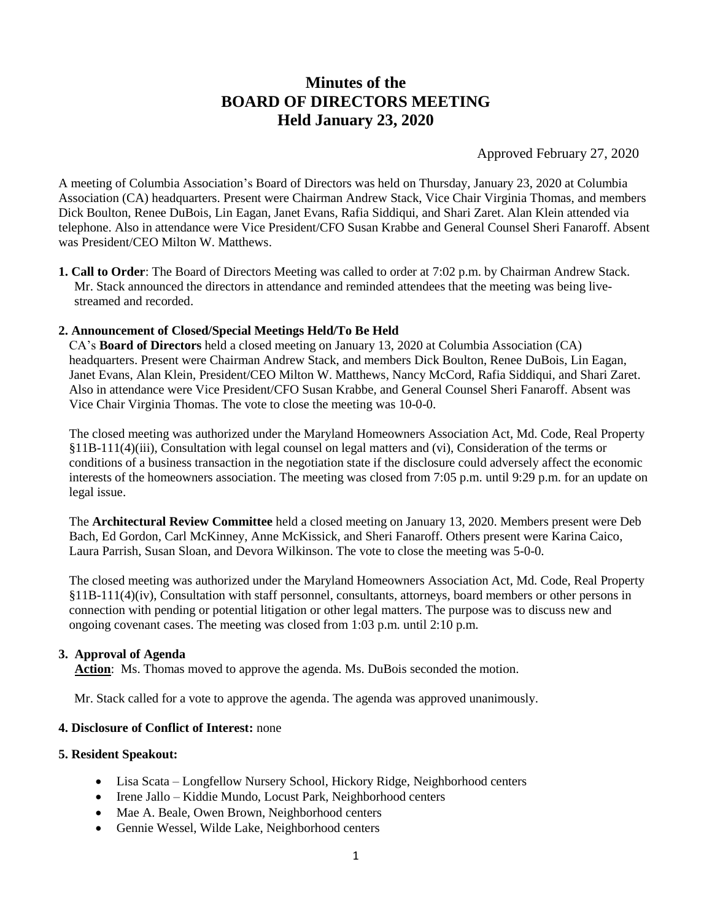# **Minutes of the BOARD OF DIRECTORS MEETING Held January 23, 2020**

Approved February 27, 2020

A meeting of Columbia Association's Board of Directors was held on Thursday, January 23, 2020 at Columbia Association (CA) headquarters. Present were Chairman Andrew Stack, Vice Chair Virginia Thomas, and members Dick Boulton, Renee DuBois, Lin Eagan, Janet Evans, Rafia Siddiqui, and Shari Zaret. Alan Klein attended via telephone. Also in attendance were Vice President/CFO Susan Krabbe and General Counsel Sheri Fanaroff. Absent was President/CEO Milton W. Matthews.

**1. Call to Order**: The Board of Directors Meeting was called to order at 7:02 p.m. by Chairman Andrew Stack. Mr. Stack announced the directors in attendance and reminded attendees that the meeting was being livestreamed and recorded.

#### **2. Announcement of Closed/Special Meetings Held/To Be Held**

CA's **Board of Directors** held a closed meeting on January 13, 2020 at Columbia Association (CA) headquarters. Present were Chairman Andrew Stack, and members Dick Boulton, Renee DuBois, Lin Eagan, Janet Evans, Alan Klein, President/CEO Milton W. Matthews, Nancy McCord, Rafia Siddiqui, and Shari Zaret. Also in attendance were Vice President/CFO Susan Krabbe, and General Counsel Sheri Fanaroff. Absent was Vice Chair Virginia Thomas. The vote to close the meeting was 10-0-0.

The closed meeting was authorized under the Maryland Homeowners Association Act, Md. Code, Real Property §11B-111(4)(iii), Consultation with legal counsel on legal matters and (vi), Consideration of the terms or conditions of a business transaction in the negotiation state if the disclosure could adversely affect the economic interests of the homeowners association. The meeting was closed from 7:05 p.m. until 9:29 p.m. for an update on legal issue.

The **Architectural Review Committee** held a closed meeting on January 13, 2020. Members present were Deb Bach, Ed Gordon, Carl McKinney, Anne McKissick, and Sheri Fanaroff. Others present were Karina Caico, Laura Parrish, Susan Sloan, and Devora Wilkinson. The vote to close the meeting was 5-0-0.

The closed meeting was authorized under the Maryland Homeowners Association Act, Md. Code, Real Property §11B-111(4)(iv), Consultation with staff personnel, consultants, attorneys, board members or other persons in connection with pending or potential litigation or other legal matters. The purpose was to discuss new and ongoing covenant cases. The meeting was closed from 1:03 p.m. until 2:10 p.m.

#### **3. Approval of Agenda**

**Action**: Ms. Thomas moved to approve the agenda. Ms. DuBois seconded the motion.

Mr. Stack called for a vote to approve the agenda. The agenda was approved unanimously.

#### **4. Disclosure of Conflict of Interest:** none

# **5. Resident Speakout:**

- Lisa Scata Longfellow Nursery School, Hickory Ridge, Neighborhood centers
- Irene Jallo Kiddie Mundo, Locust Park, Neighborhood centers
- Mae A. Beale, Owen Brown, Neighborhood centers
- Gennie Wessel, Wilde Lake, Neighborhood centers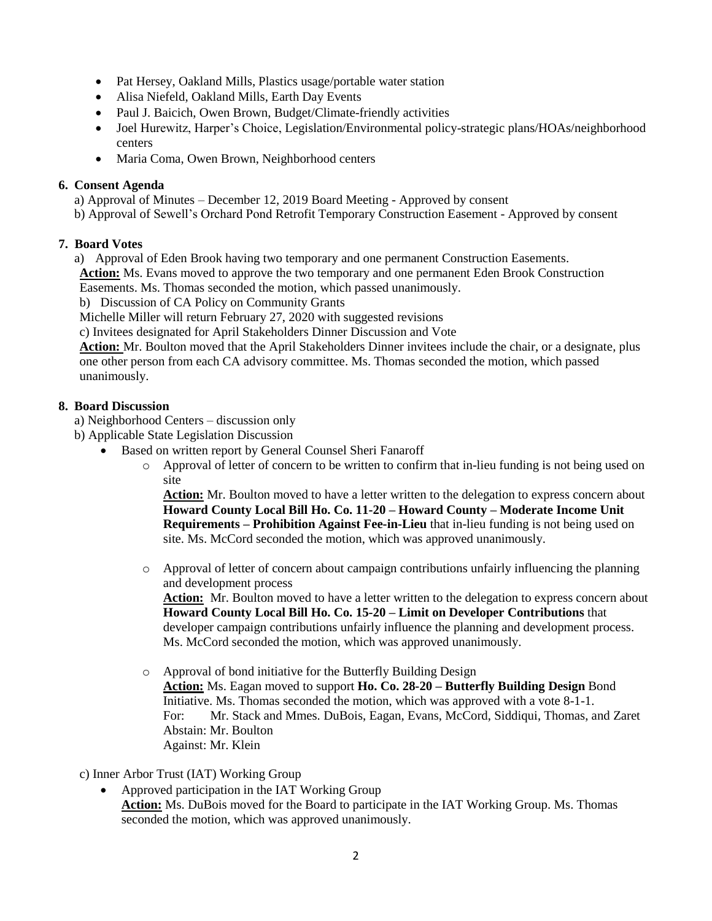- Pat Hersey, Oakland Mills, Plastics usage/portable water station
- Alisa Niefeld, Oakland Mills, Earth Day Events
- Paul J. Baicich, Owen Brown, Budget/Climate-friendly activities
- Joel Hurewitz, Harper's Choice, Legislation/Environmental policy-strategic plans/HOAs/neighborhood centers
- Maria Coma, Owen Brown, Neighborhood centers

# **6. Consent Agenda**

- a) Approval of Minutes December 12, 2019 Board Meeting Approved by consent
- b) Approval of Sewell's Orchard Pond Retrofit Temporary Construction Easement Approved by consent

# **7. Board Votes**

- a) Approval of Eden Brook having two temporary and one permanent Construction Easements.
- **Action:** Ms. Evans moved to approve the two temporary and one permanent Eden Brook Construction

Easements. Ms. Thomas seconded the motion, which passed unanimously.

b) Discussion of CA Policy on Community Grants

Michelle Miller will return February 27, 2020 with suggested revisions

c) Invitees designated for April Stakeholders Dinner Discussion and Vote

**Action:** Mr. Boulton moved that the April Stakeholders Dinner invitees include the chair, or a designate, plus one other person from each CA advisory committee. Ms. Thomas seconded the motion, which passed unanimously.

# **8. Board Discussion**

a) Neighborhood Centers – discussion only

- b) Applicable State Legislation Discussion
	- Based on written report by General Counsel Sheri Fanaroff
		- o Approval of letter of concern to be written to confirm that in-lieu funding is not being used on site

**Action:** Mr. Boulton moved to have a letter written to the delegation to express concern about **Howard County Local Bill Ho. Co. 11-20 – Howard County – Moderate Income Unit Requirements – Prohibition Against Fee-in-Lieu** that in-lieu funding is not being used on site. Ms. McCord seconded the motion, which was approved unanimously.

o Approval of letter of concern about campaign contributions unfairly influencing the planning and development process

**Action:** Mr. Boulton moved to have a letter written to the delegation to express concern about **Howard County Local Bill Ho. Co. 15-20 – Limit on Developer Contributions** that developer campaign contributions unfairly influence the planning and development process. Ms. McCord seconded the motion, which was approved unanimously.

- o Approval of bond initiative for the Butterfly Building Design **Action:** Ms. Eagan moved to support **Ho. Co. 28-20 – Butterfly Building Design** Bond Initiative. Ms. Thomas seconded the motion, which was approved with a vote 8-1-1.
	- For: Mr. Stack and Mmes. DuBois, Eagan, Evans, McCord, Siddiqui, Thomas, and Zaret Abstain: Mr. Boulton
	- Against: Mr. Klein

# c) Inner Arbor Trust (IAT) Working Group

 Approved participation in the IAT Working Group **Action:** Ms. DuBois moved for the Board to participate in the IAT Working Group. Ms. Thomas seconded the motion, which was approved unanimously.